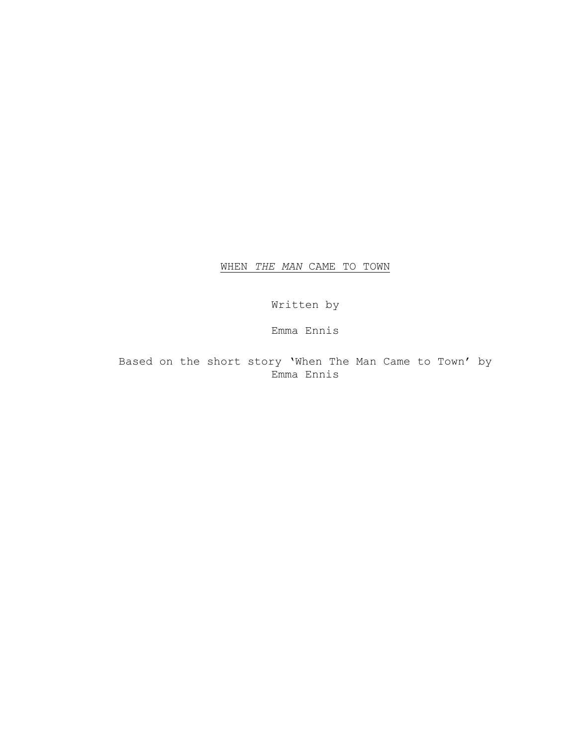WHEN *THE MAN* CAME TO TOWN

Written by

Emma Ennis

Based on the short story 'When The Man Came to Town' by Emma Ennis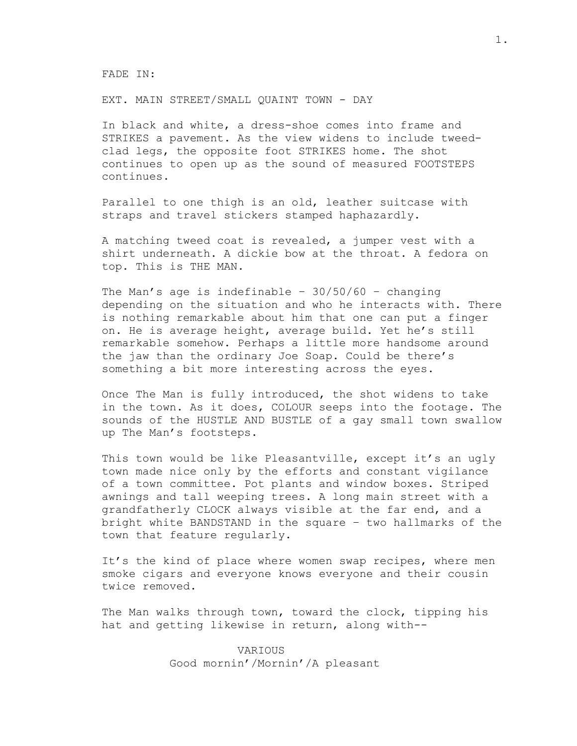FADE IN:

EXT. MAIN STREET/SMALL QUAINT TOWN - DAY

In black and white, a dress-shoe comes into frame and STRIKES a pavement. As the view widens to include tweedclad legs, the opposite foot STRIKES home. The shot continues to open up as the sound of measured FOOTSTEPS continues.

Parallel to one thigh is an old, leather suitcase with straps and travel stickers stamped haphazardly.

A matching tweed coat is revealed, a jumper vest with a shirt underneath. A dickie bow at the throat. A fedora on top. This is THE MAN.

The Man's age is indefinable -  $30/50/60$  - changing depending on the situation and who he interacts with. There is nothing remarkable about him that one can put a finger on. He is average height, average build. Yet he's still remarkable somehow. Perhaps a little more handsome around the jaw than the ordinary Joe Soap. Could be there's something a bit more interesting across the eyes.

Once The Man is fully introduced, the shot widens to take in the town. As it does, COLOUR seeps into the footage. The sounds of the HUSTLE AND BUSTLE of a gay small town swallow up The Man's footsteps.

This town would be like Pleasantville, except it's an ugly town made nice only by the efforts and constant vigilance of a town committee. Pot plants and window boxes. Striped awnings and tall weeping trees. A long main street with a grandfatherly CLOCK always visible at the far end, and a bright white BANDSTAND in the square – two hallmarks of the town that feature regularly.

It's the kind of place where women swap recipes, where men smoke cigars and everyone knows everyone and their cousin twice removed.

The Man walks through town, toward the clock, tipping his hat and getting likewise in return, along with--

> VARIOUS Good mornin'/Mornin'/A pleasant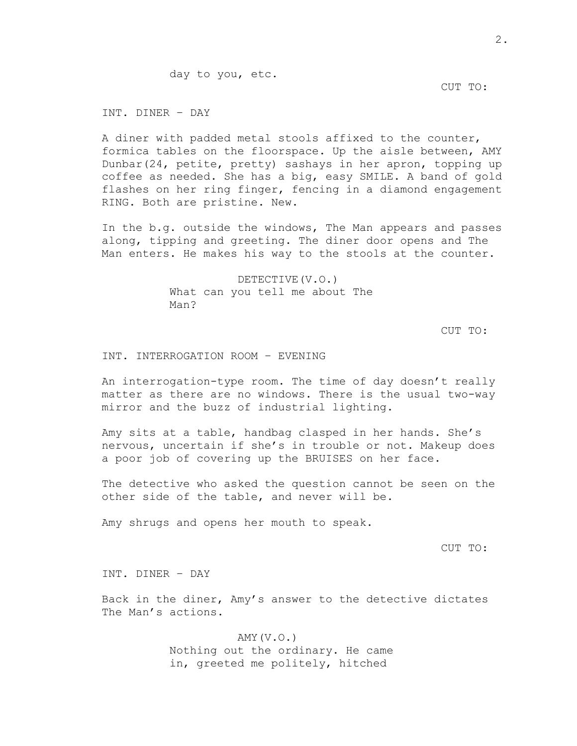## CUT TO:

INT. DINER – DAY

A diner with padded metal stools affixed to the counter, formica tables on the floorspace. Up the aisle between, AMY Dunbar(24, petite, pretty) sashays in her apron, topping up coffee as needed. She has a big, easy SMILE. A band of gold flashes on her ring finger, fencing in a diamond engagement RING. Both are pristine. New.

In the b.g. outside the windows, The Man appears and passes along, tipping and greeting. The diner door opens and The Man enters. He makes his way to the stools at the counter.

> DETECTIVE(V.O.) What can you tell me about The Man?

> > CUT TO:

INT. INTERROGATION ROOM – EVENING

An interrogation-type room. The time of day doesn't really matter as there are no windows. There is the usual two-way mirror and the buzz of industrial lighting.

Amy sits at a table, handbag clasped in her hands. She's nervous, uncertain if she's in trouble or not. Makeup does a poor job of covering up the BRUISES on her face.

The detective who asked the question cannot be seen on the other side of the table, and never will be.

Amy shrugs and opens her mouth to speak.

CUT TO:

INT. DINER – DAY

Back in the diner, Amy's answer to the detective dictates The Man's actions.

> AMY(V.O.) Nothing out the ordinary. He came in, greeted me politely, hitched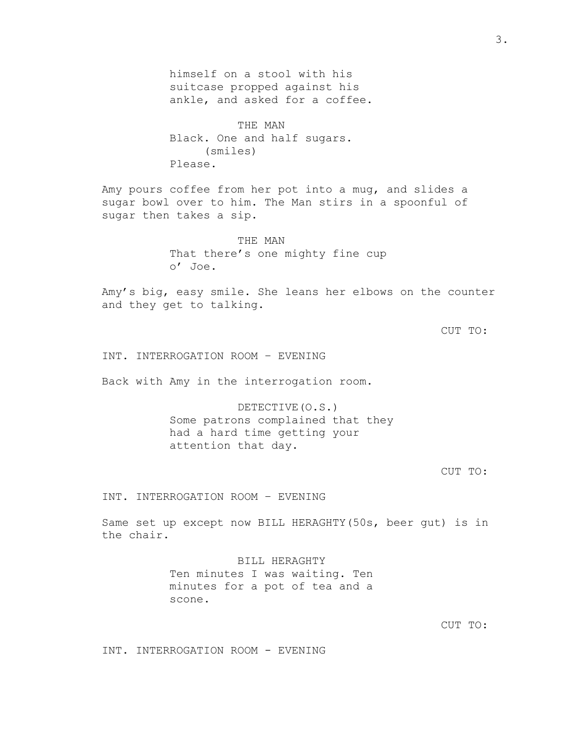himself on a stool with his suitcase propped against his ankle, and asked for a coffee.

THE MAN Black. One and half sugars. (smiles) Please.

Amy pours coffee from her pot into a mug, and slides a sugar bowl over to him. The Man stirs in a spoonful of sugar then takes a sip.

> THE MAN That there's one mighty fine cup o' Joe.

Amy's big, easy smile. She leans her elbows on the counter and they get to talking.

CUT TO:

INT. INTERROGATION ROOM – EVENING

Back with Amy in the interrogation room.

DETECTIVE(O.S.) Some patrons complained that they had a hard time getting your attention that day.

CUT TO:

INT. INTERROGATION ROOM – EVENING

Same set up except now BILL HERAGHTY(50s, beer gut) is in the chair.

> BILL HERAGHTY Ten minutes I was waiting. Ten minutes for a pot of tea and a scone.

> > CUT TO:

INT. INTERROGATION ROOM - EVENING